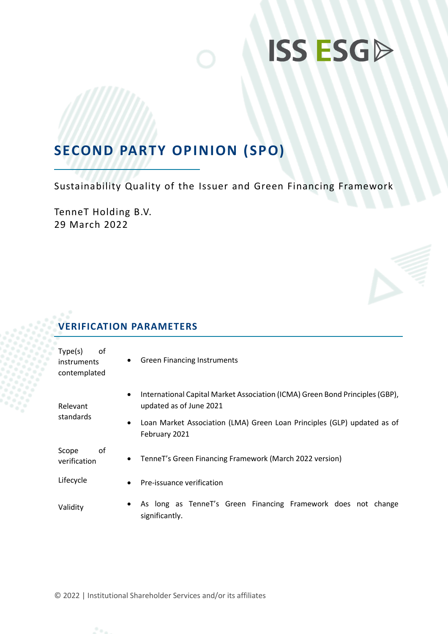## **SECOND PARTY OPINION (SPO)**

Sustainability Quality of the Issuer and Green Financing Framework

TenneT Holding B.V. 29 March 2022

## **VERIFICATION PARAMETERS**

| Type(s)<br>οf<br>instruments<br>contemplated | <b>Green Financing Instruments</b><br>$\bullet$                                                                      |
|----------------------------------------------|----------------------------------------------------------------------------------------------------------------------|
| Relevant                                     | International Capital Market Association (ICMA) Green Bond Principles (GBP),<br>$\bullet$<br>updated as of June 2021 |
| standards                                    | Loan Market Association (LMA) Green Loan Principles (GLP) updated as of<br>$\bullet$<br>February 2021                |
| οf<br>Scope<br>verification                  | TenneT's Green Financing Framework (March 2022 version)<br>$\bullet$                                                 |
| Lifecycle                                    | Pre-issuance verification<br>$\bullet$                                                                               |
| Validity                                     | As long as TenneT's Green Financing Framework does not change<br>$\bullet$<br>significantly.                         |

© 2022 | Institutional Shareholder Services and/or its affiliates

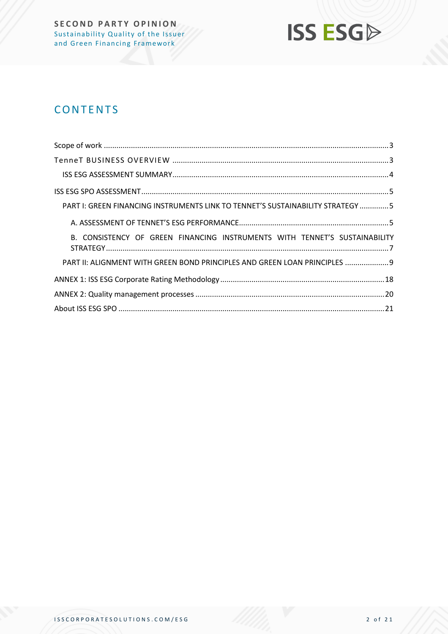

## **CONTENTS**

| PART I: GREEN FINANCING INSTRUMENTS LINK TO TENNET'S SUSTAINABILITY STRATEGY 5 |
|--------------------------------------------------------------------------------|
|                                                                                |
| B. CONSISTENCY OF GREEN FINANCING INSTRUMENTS WITH TENNET'S SUSTAINABILITY     |
| PART II: ALIGNMENT WITH GREEN BOND PRINCIPLES AND GREEN LOAN PRINCIPLES  9     |
|                                                                                |
|                                                                                |
|                                                                                |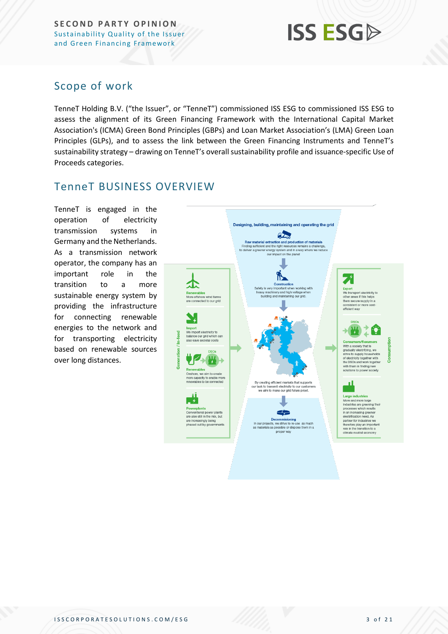## **ISS ESG**

### <span id="page-2-0"></span>Scope of work

TenneT Holding B.V. ("the Issuer", or "TenneT") commissioned ISS ESG to commissioned ISS ESG to assess the alignment of its Green Financing Framework with the International Capital Market Association's (ICMA) Green Bond Principles (GBPs) and Loan Market Association's (LMA) Green Loan Principles (GLPs), and to assess the link between the Green Financing Instruments and TenneT's sustainability strategy – drawing on TenneT's overall sustainability profile and issuance-specific Use of Proceeds categories.

### <span id="page-2-1"></span>TenneT BUSINESS OVERVIEW

TenneT is engaged in the operation of electricity transmission systems in Germany and the Netherlands. As a transmission network operator, the company has an important role in the transition to a more sustainable energy system by providing the infrastructure for connecting renewable energies to the network and for transporting electricity based on renewable sources over long distances.

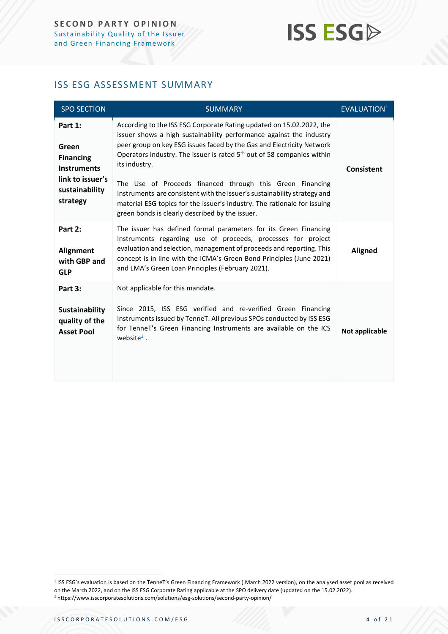### <span id="page-3-0"></span>ISS ESG ASSESSMENT SUMMARY

| <b>SPO SECTION</b>                                                                                           | <b>SUMMARY</b>                                                                                                                                                                                                                                                                                                                                                                                                                                                                                                                                                                                      | <b>EVALUATION</b> <sup>1</sup> |
|--------------------------------------------------------------------------------------------------------------|-----------------------------------------------------------------------------------------------------------------------------------------------------------------------------------------------------------------------------------------------------------------------------------------------------------------------------------------------------------------------------------------------------------------------------------------------------------------------------------------------------------------------------------------------------------------------------------------------------|--------------------------------|
| Part 1:<br>Green<br><b>Financing</b><br><b>Instruments</b><br>link to issuer's<br>sustainability<br>strategy | According to the ISS ESG Corporate Rating updated on 15.02.2022, the<br>issuer shows a high sustainability performance against the industry<br>peer group on key ESG issues faced by the Gas and Electricity Network<br>Operators industry. The issuer is rated 5 <sup>th</sup> out of 58 companies within<br>its industry.<br>The Use of Proceeds financed through this Green Financing<br>Instruments are consistent with the issuer's sustainability strategy and<br>material ESG topics for the issuer's industry. The rationale for issuing<br>green bonds is clearly described by the issuer. | Consistent                     |
| Part 2:<br><b>Alignment</b><br>with GBP and<br><b>GLP</b>                                                    | The issuer has defined formal parameters for its Green Financing<br>Instruments regarding use of proceeds, processes for project<br>evaluation and selection, management of proceeds and reporting. This<br>concept is in line with the ICMA's Green Bond Principles (June 2021)<br>and LMA's Green Loan Principles (February 2021).                                                                                                                                                                                                                                                                | <b>Aligned</b>                 |
| Part 3:<br>Sustainability<br>quality of the<br><b>Asset Pool</b>                                             | Not applicable for this mandate.<br>Since 2015, ISS ESG verified and re-verified Green Financing<br>Instruments issued by TenneT. All previous SPOs conducted by ISS ESG<br>for TenneT's Green Financing Instruments are available on the ICS<br>website $2$ .                                                                                                                                                                                                                                                                                                                                      | Not applicable                 |

<sup>&</sup>lt;sup>1</sup> ISS ESG's evaluation is based on the TenneT's Green Financing Framework (March 2022 version), on the analysed asset pool as received on the March 2022, and on the ISS ESG Corporate Rating applicable at the SPO delivery date (updated on the 15.02.2022). <sup>2</sup> https://www.isscorporatesolutions.com/solutions/esg-solutions/second-party-opinion/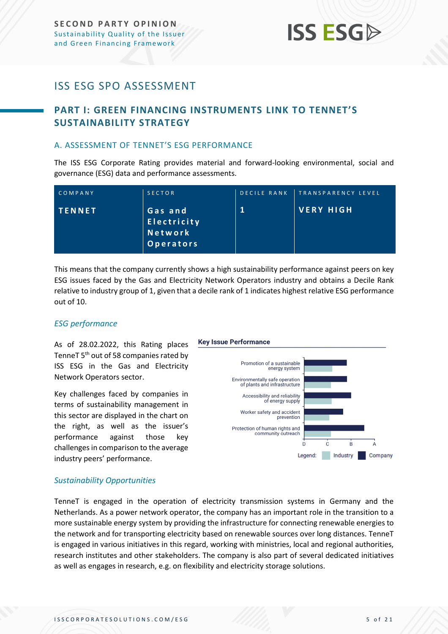### <span id="page-4-0"></span>ISS ESG SPO ASSESSMENT

### <span id="page-4-1"></span>**PART I: GREEN FINANCING INSTRUMENTS LINK TO TENNET'S SUSTAINABILITY STRATEGY**

#### <span id="page-4-2"></span>A. ASSESSMENT OF TENNET'S ESG PERFORMANCE

The ISS ESG Corporate Rating provides material and forward-looking environmental, social and governance (ESG) data and performance assessments.

| COMPANY       | <b>SECTOR</b>                                    | <b>DECILE RANK</b> | TRANSPARENCY LEVEL |
|---------------|--------------------------------------------------|--------------------|--------------------|
| <b>TENNET</b> | 'Gas and,<br>Electricity<br>Network<br>Operators |                    | VERY HIGH          |

This means that the company currently shows a high sustainability performance against peers on key ESG issues faced by the Gas and Electricity Network Operators industry and obtains a Decile Rank relative to industry group of 1, given that a decile rank of 1 indicates highest relative ESG performance out of 10.

#### *ESG performance*

As of 28.02.2022, this Rating places TenneT 5<sup>th</sup> out of 58 companies rated by ISS ESG in the Gas and Electricity Network Operators sector.

Key challenges faced by companies in terms of sustainability management in this sector are displayed in the chart on the right, as well as the issuer's performance against those key challenges in comparison to the average industry peers' performance.

#### **Key Issue Performance**



#### *Sustainability Opportunities*

TenneT is engaged in the operation of electricity transmission systems in Germany and the Netherlands. As a power network operator, the company has an important role in the transition to a more sustainable energy system by providing the infrastructure for connecting renewable energies to the network and for transporting electricity based on renewable sources over long distances. TenneT is engaged in various initiatives in this regard, working with ministries, local and regional authorities, research institutes and other stakeholders. The company is also part of several dedicated initiatives as well as engages in research, e.g. on flexibility and electricity storage solutions.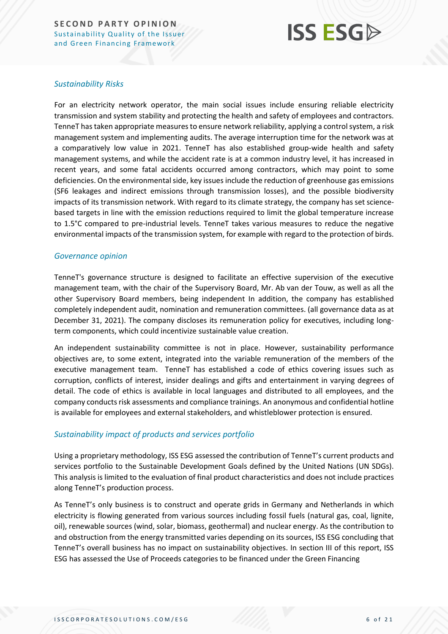## **ISS ESG**

#### *Sustainability Risks*

For an electricity network operator, the main social issues include ensuring reliable electricity transmission and system stability and protecting the health and safety of employees and contractors. TenneT has taken appropriate measures to ensure network reliability, applying a control system, a risk management system and implementing audits. The average interruption time for the network was at a comparatively low value in 2021. TenneT has also established group-wide health and safety management systems, and while the accident rate is at a common industry level, it has increased in recent years, and some fatal accidents occurred among contractors, which may point to some deficiencies. On the environmental side, key issues include the reduction of greenhouse gas emissions (SF6 leakages and indirect emissions through transmission losses), and the possible biodiversity impacts of its transmission network. With regard to its climate strategy, the company has set sciencebased targets in line with the emission reductions required to limit the global temperature increase to 1.5°C compared to pre-industrial levels. TenneT takes various measures to reduce the negative environmental impacts of the transmission system, for example with regard to the protection of birds.

#### *Governance opinion*

TenneT's governance structure is designed to facilitate an effective supervision of the executive management team, with the chair of the Supervisory Board, Mr. Ab van der Touw, as well as all the other Supervisory Board members, being independent In addition, the company has established completely independent audit, nomination and remuneration committees. (all governance data as at December 31, 2021). The company discloses its remuneration policy for executives, including longterm components, which could incentivize sustainable value creation.

An independent sustainability committee is not in place. However, sustainability performance objectives are, to some extent, integrated into the variable remuneration of the members of the executive management team. TenneT has established a code of ethics covering issues such as corruption, conflicts of interest, insider dealings and gifts and entertainment in varying degrees of detail. The code of ethics is available in local languages and distributed to all employees, and the company conducts risk assessments and compliance trainings. An anonymous and confidential hotline is available for employees and external stakeholders, and whistleblower protection is ensured.

#### *Sustainability impact of products and services portfolio*

Using a proprietary methodology, ISS ESG assessed the contribution of TenneT's current products and services portfolio to the Sustainable Development Goals defined by the United Nations (UN SDGs). This analysis is limited to the evaluation of final product characteristics and does not include practices along TenneT's production process.

As TenneT's only business is to construct and operate grids in Germany and Netherlands in which electricity is flowing generated from various sources including fossil fuels (natural gas, coal, lignite, oil), renewable sources (wind, solar, biomass, geothermal) and nuclear energy. As the contribution to and obstruction from the energy transmitted varies depending on its sources, ISS ESG concluding that TenneT's overall business has no impact on sustainability objectives. In section III of this report, ISS ESG has assessed the Use of Proceeds categories to be financed under the Green Financing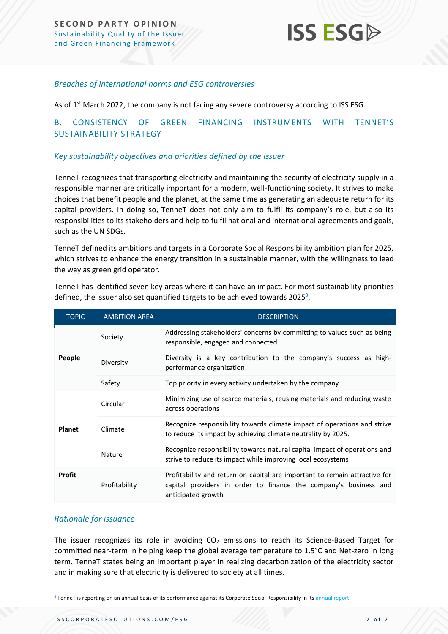#### *Breaches of international norms and ESG controversies*

As of 1<sup>st</sup> March 2022, the company is not facing any severe controversy according to ISS ESG.

#### <span id="page-6-0"></span>B. CONSISTENCY OF GREEN FINANCING INSTRUMENTS WITH TENNET'S SUSTAINABILITY STRATEGY

#### *Key sustainability objectives and priorities defined by the issuer*

TenneT recognizes that transporting electricity and maintaining the security of electricity supply in a responsible manner are critically important for a modern, well-functioning society. It strives to make choices that benefit people and the planet, at the same time as generating an adequate return for its capital providers. In doing so, TenneT does not only aim to fulfil its company's role, but also its responsibilities to its stakeholders and help to fulfil national and international agreements and goals, such as the UN SDGs.

TenneT defined its ambitions and targets in a Corporate Social Responsibility ambition plan for 2025, which strives to enhance the energy transition in a sustainable manner, with the willingness to lead the way as green grid operator.

| <b>TOPIC</b>  | <b>AMBITION AREA</b>                                                                                                                                                                  | <b>DESCRIPTION</b>                                                                                                                        |
|---------------|---------------------------------------------------------------------------------------------------------------------------------------------------------------------------------------|-------------------------------------------------------------------------------------------------------------------------------------------|
|               | Society                                                                                                                                                                               | Addressing stakeholders' concerns by committing to values such as being<br>responsible, engaged and connected                             |
| People        | Diversity                                                                                                                                                                             | Diversity is a key contribution to the company's success as high-<br>performance organization                                             |
|               | Safety                                                                                                                                                                                | Top priority in every activity undertaken by the company                                                                                  |
|               | Circular                                                                                                                                                                              | Minimizing use of scarce materials, reusing materials and reducing waste<br>across operations                                             |
| <b>Planet</b> | Climate                                                                                                                                                                               | Recognize responsibility towards climate impact of operations and strive<br>to reduce its impact by achieving climate neutrality by 2025. |
|               | Nature                                                                                                                                                                                | Recognize responsibility towards natural capital impact of operations and<br>strive to reduce its impact while improving local ecosystems |
| <b>Profit</b> | Profitability and return on capital are important to remain attractive for<br>Profitability<br>capital providers in order to finance the company's business and<br>anticipated growth |                                                                                                                                           |

TenneT has identified seven key areas where it can have an impact. For most sustainability priorities defined, the issuer also set quantified targets to be achieved towards 2025<sup>3</sup>.

#### *Rationale for issuance*

The issuer recognizes its role in avoiding  $CO<sub>2</sub>$  emissions to reach its Science-Based Target for committed near-term in helping keep the global average temperature to 1.5°C and Net-zero in long term. TenneT states being an important player in realizing decarbonization of the electricity sector and in making sure that electricity is delivered to society at all times.

<sup>&</sup>lt;sup>3</sup> TenneT is reporting on an annual basis of its performance against its Corporate Social Responsibility in it[s annual report.](file:///C:/Users/durrmar/AppData/Local/Microsoft/Windows/INetCache/Content.Outlook/RB1OHAOU/annual%20report)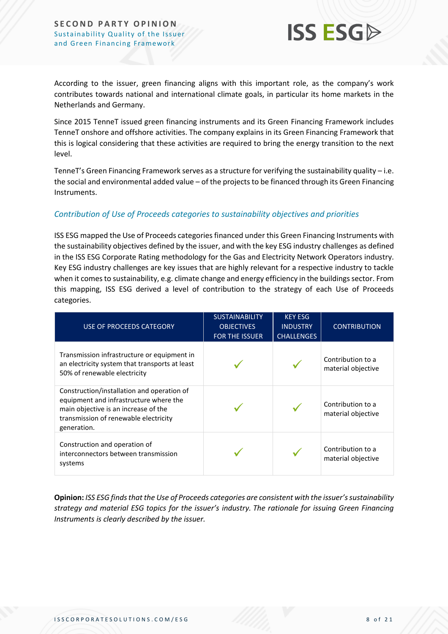

According to the issuer, green financing aligns with this important role, as the company's work contributes towards national and international climate goals, in particular its home markets in the Netherlands and Germany.

Since 2015 TenneT issued green financing instruments and its Green Financing Framework includes TenneT onshore and offshore activities. The company explains in its Green Financing Framework that this is logical considering that these activities are required to bring the energy transition to the next level.

TenneT's Green Financing Framework serves as a structure for verifying the sustainability quality – i.e. the social and environmental added value – of the projects to be financed through its Green Financing Instruments.

#### *Contribution of Use of Proceeds categories to sustainability objectives and priorities*

ISS ESG mapped the Use of Proceeds categories financed under this Green Financing Instruments with the sustainability objectives defined by the issuer, and with the key ESG industry challenges as defined in the ISS ESG Corporate Rating methodology for the Gas and Electricity Network Operators industry. Key ESG industry challenges are key issues that are highly relevant for a respective industry to tackle when it comes to sustainability, e.g. climate change and energy efficiency in the buildings sector. From this mapping, ISS ESG derived a level of contribution to the strategy of each Use of Proceeds categories.

| USE OF PROCEEDS CATEGORY                                                                                                                                                             | <b>SUSTAINABILITY</b><br><b>OBJECTIVES</b><br><b>FOR THE ISSUER</b> | <b>KEY ESG</b><br><b>INDUSTRY</b><br><b>CHALLENGES</b> | <b>CONTRIBUTION</b>                     |
|--------------------------------------------------------------------------------------------------------------------------------------------------------------------------------------|---------------------------------------------------------------------|--------------------------------------------------------|-----------------------------------------|
| Transmission infrastructure or equipment in<br>an electricity system that transports at least<br>50% of renewable electricity                                                        |                                                                     |                                                        | Contribution to a<br>material objective |
| Construction/installation and operation of<br>equipment and infrastructure where the<br>main objective is an increase of the<br>transmission of renewable electricity<br>generation. |                                                                     |                                                        | Contribution to a<br>material objective |
| Construction and operation of<br>interconnectors between transmission<br>systems                                                                                                     |                                                                     |                                                        | Contribution to a<br>material objective |

**Opinion:** *ISS ESG finds that the Use of Proceeds categories are consistent with the issuer's sustainability strategy and material ESG topics for the issuer's industry. The rationale for issuing Green Financing Instruments is clearly described by the issuer.*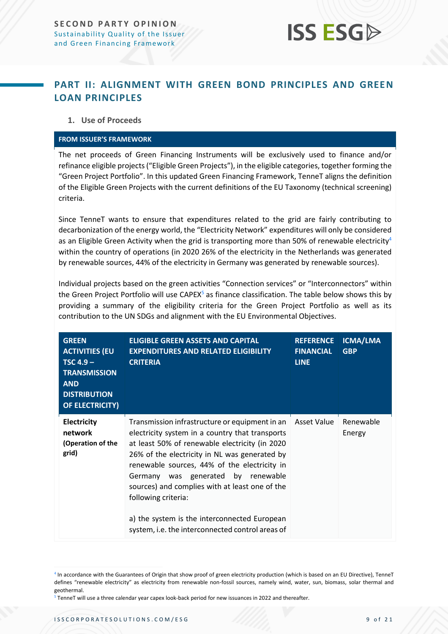### <span id="page-8-0"></span>**PART II: ALIGNMENT WITH GREEN BOND PRINCIPLES AND GREEN LOAN PRINCIPLES**

#### **1. Use of Proceeds**

#### **FROM ISSUER'S FRAMEWORK**

The net proceeds of Green Financing Instruments will be exclusively used to finance and/or refinance eligible projects ("Eligible Green Projects"), in the eligible categories, together forming the "Green Project Portfolio". In this updated Green Financing Framework, TenneT aligns the definition of the Eligible Green Projects with the current definitions of the EU Taxonomy (technical screening) criteria.

Since TenneT wants to ensure that expenditures related to the grid are fairly contributing to decarbonization of the energy world, the "Electricity Network" expenditures will only be considered as an Eligible Green Activity when the grid is transporting more than 50% of renewable electricity<sup>4</sup> within the country of operations (in 2020 26% of the electricity in the Netherlands was generated by renewable sources, 44% of the electricity in Germany was generated by renewable sources).

Individual projects based on the green activities "Connection services" or "Interconnectors" within the Green Project Portfolio will use CAPEX<sup>5</sup> as finance classification. The table below shows this by providing a summary of the eligibility criteria for the Green Project Portfolio as well as its contribution to the UN SDGs and alignment with the EU Environmental Objectives.

| <b>GREEN</b><br><b>ACTIVITIES (EU</b><br>$TSC 4.9 -$<br><b>TRANSMISSION</b><br><b>AND</b><br><b>DISTRIBUTION</b><br><b>OF ELECTRICITY)</b> | <b>ELIGIBLE GREEN ASSETS AND CAPITAL</b><br><b>EXPENDITURES AND RELATED ELIGIBILITY</b><br><b>CRITERIA</b>                                                                                                                                                                                                                                                                                                                                                              | <b>REFERENCE</b><br><b>FINANCIAL</b><br><b>LINE</b> | ICMA/LMA<br><b>GBP</b> |
|--------------------------------------------------------------------------------------------------------------------------------------------|-------------------------------------------------------------------------------------------------------------------------------------------------------------------------------------------------------------------------------------------------------------------------------------------------------------------------------------------------------------------------------------------------------------------------------------------------------------------------|-----------------------------------------------------|------------------------|
| <b>Electricity</b><br>network<br>(Operation of the<br>grid)                                                                                | Transmission infrastructure or equipment in an<br>electricity system in a country that transports<br>at least 50% of renewable electricity (in 2020<br>26% of the electricity in NL was generated by<br>renewable sources, 44% of the electricity in<br>Germany was generated by renewable<br>sources) and complies with at least one of the<br>following criteria:<br>a) the system is the interconnected European<br>system, i.e. the interconnected control areas of | Asset Value                                         | Renewable<br>Energy    |

<sup>4</sup> In accordance with the Guarantees of Origin that show proof of green electricity production (which is based on an EU Directive), TenneT defines "renewable electricity" as electricity from renewable non-fossil sources, namely wind, water, sun, biomass, solar thermal and geothermal.

<sup>5</sup> TenneT will use a three calendar year capex look-back period for new issuances in 2022 and thereafter.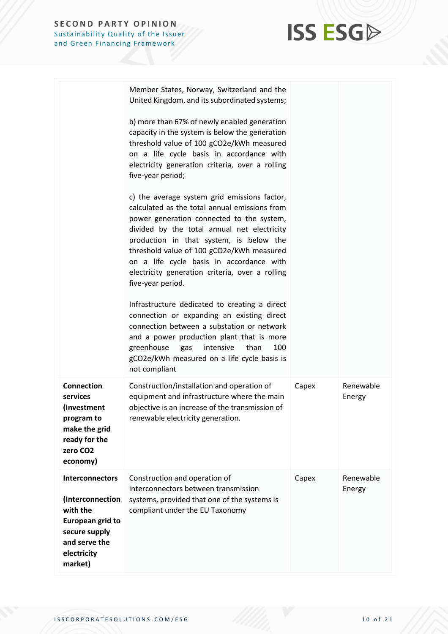

|                                                                                                                                        | Member States, Norway, Switzerland and the<br>United Kingdom, and its subordinated systems;                                                                                                                                                                                                                                                                                                           |       |                     |
|----------------------------------------------------------------------------------------------------------------------------------------|-------------------------------------------------------------------------------------------------------------------------------------------------------------------------------------------------------------------------------------------------------------------------------------------------------------------------------------------------------------------------------------------------------|-------|---------------------|
|                                                                                                                                        | b) more than 67% of newly enabled generation<br>capacity in the system is below the generation<br>threshold value of 100 gCO2e/kWh measured<br>on a life cycle basis in accordance with<br>electricity generation criteria, over a rolling<br>five-year period;                                                                                                                                       |       |                     |
|                                                                                                                                        | c) the average system grid emissions factor,<br>calculated as the total annual emissions from<br>power generation connected to the system,<br>divided by the total annual net electricity<br>production in that system, is below the<br>threshold value of 100 gCO2e/kWh measured<br>on a life cycle basis in accordance with<br>electricity generation criteria, over a rolling<br>five-year period. |       |                     |
|                                                                                                                                        | Infrastructure dedicated to creating a direct<br>connection or expanding an existing direct<br>connection between a substation or network<br>and a power production plant that is more<br>greenhouse<br>intensive<br>than<br>100<br>gas<br>gCO2e/kWh measured on a life cycle basis is<br>not compliant                                                                                               |       |                     |
| <b>Connection</b><br>services<br>(Investment<br>program to<br>make the grid<br>ready for the<br>zero CO <sub>2</sub><br>economy)       | Construction/installation and operation of<br>equipment and infrastructure where the main<br>objective is an increase of the transmission of<br>renewable electricity generation.                                                                                                                                                                                                                     | Capex | Renewable<br>Energy |
| Interconnectors<br>(Interconnection<br>with the<br><b>European grid to</b><br>secure supply<br>and serve the<br>electricity<br>market) | Construction and operation of<br>interconnectors between transmission<br>systems, provided that one of the systems is<br>compliant under the EU Taxonomy                                                                                                                                                                                                                                              | Capex | Renewable<br>Energy |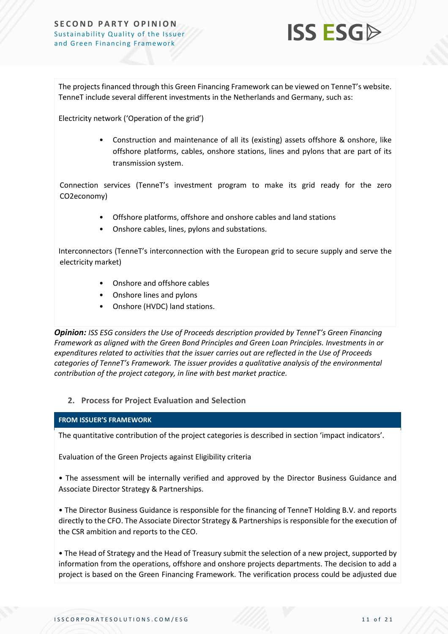

The projects financed through this Green Financing Framework can be viewed on TenneT's website. TenneT include several different investments in the Netherlands and Germany, such as:

Electricity network ('Operation of the grid')

• Construction and maintenance of all its (existing) assets offshore & onshore, like offshore platforms, cables, onshore stations, lines and pylons that are part of its transmission system.

Connection services (TenneT's investment program to make its grid ready for the zero CO2economy)

- Offshore platforms, offshore and onshore cables and land stations
- Onshore cables, lines, pylons and substations.

Interconnectors (TenneT's interconnection with the European grid to secure supply and serve the electricity market)

- Onshore and offshore cables
- Onshore lines and pylons
- Onshore (HVDC) land stations.

*Opinion: ISS ESG considers the Use of Proceeds description provided by TenneT's Green Financing Framework as aligned with the Green Bond Principles and Green Loan Principles. Investments in or expenditures related to activities that the issuer carries out are reflected in the Use of Proceeds categories of TenneT's Framework. The issuer provides a qualitative analysis of the environmental contribution of the project category, in line with best market practice.*

#### **2. Process for Project Evaluation and Selection**

#### **FROM ISSUER'S FRAMEWORK**

The quantitative contribution of the project categories is described in section 'impact indicators'.

Evaluation of the Green Projects against Eligibility criteria

• The assessment will be internally verified and approved by the Director Business Guidance and Associate Director Strategy & Partnerships.

• The Director Business Guidance is responsible for the financing of TenneT Holding B.V. and reports directly to the CFO. The Associate Director Strategy & Partnerships is responsible for the execution of the CSR ambition and reports to the CEO.

• The Head of Strategy and the Head of Treasury submit the selection of a new project, supported by information from the operations, offshore and onshore projects departments. The decision to add a project is based on the Green Financing Framework. The verification process could be adjusted due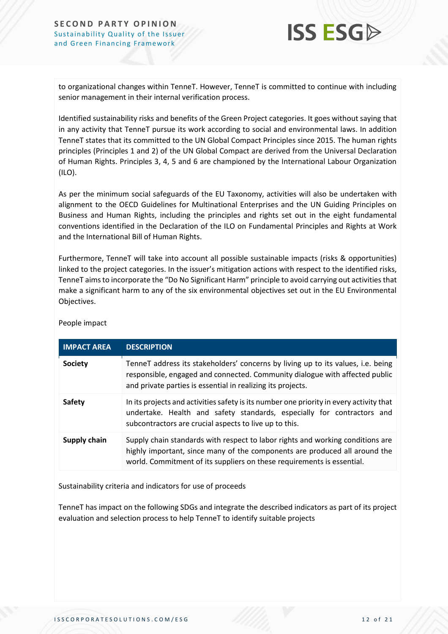

to organizational changes within TenneT. However, TenneT is committed to continue with including senior management in their internal verification process.

Identified sustainability risks and benefits of the Green Project categories. It goes without saying that in any activity that TenneT pursue its work according to social and environmental laws. In addition TenneT states that its committed to the UN Global Compact Principles since 2015. The human rights principles (Principles 1 and 2) of the UN Global Compact are derived from the Universal Declaration of Human Rights. Principles 3, 4, 5 and 6 are championed by the International Labour Organization (ILO).

As per the minimum social safeguards of the EU Taxonomy, activities will also be undertaken with alignment to the OECD Guidelines for Multinational Enterprises and the UN Guiding Principles on Business and Human Rights, including the principles and rights set out in the eight fundamental conventions identified in the Declaration of the ILO on Fundamental Principles and Rights at Work and the International Bill of Human Rights.

Furthermore, TenneT will take into account all possible sustainable impacts (risks & opportunities) linked to the project categories. In the issuer's mitigation actions with respect to the identified risks, TenneT aimsto incorporate the "Do No Significant Harm" principle to avoid carrying out activities that make a significant harm to any of the six environmental objectives set out in the EU Environmental Objectives.

| <b>IMPACT AREA</b> | <b>DESCRIPTION</b>                                                                                                                                                                                                                     |
|--------------------|----------------------------------------------------------------------------------------------------------------------------------------------------------------------------------------------------------------------------------------|
| <b>Society</b>     | TenneT address its stakeholders' concerns by living up to its values, i.e. being<br>responsible, engaged and connected. Community dialogue with affected public<br>and private parties is essential in realizing its projects.         |
| Safety             | In its projects and activities safety is its number one priority in every activity that<br>undertake. Health and safety standards, especially for contractors and<br>subcontractors are crucial aspects to live up to this.            |
| Supply chain       | Supply chain standards with respect to labor rights and working conditions are<br>highly important, since many of the components are produced all around the<br>world. Commitment of its suppliers on these requirements is essential. |

People impact

Sustainability criteria and indicators for use of proceeds

TenneT has impact on the following SDGs and integrate the described indicators as part of its project evaluation and selection process to help TenneT to identify suitable projects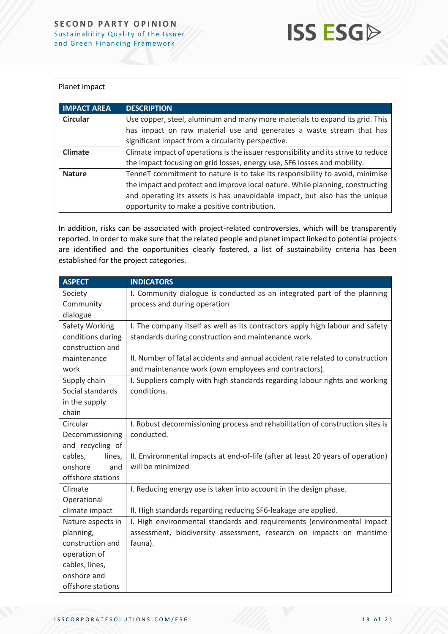

#### Planet impact

| <b>IMPACT AREA</b> | <b>DESCRIPTION</b>                                                                 |
|--------------------|------------------------------------------------------------------------------------|
| <b>Circular</b>    | Use copper, steel, aluminum and many more materials to expand its grid. This       |
|                    | has impact on raw material use and generates a waste stream that has               |
|                    | significant impact from a circularity perspective.                                 |
| Climate            | Climate impact of operations is the issuer responsibility and its strive to reduce |
|                    | the impact focusing on grid losses, energy use, SF6 losses and mobility.           |
| <b>Nature</b>      | TenneT commitment to nature is to take its responsibility to avoid, minimise       |
|                    | the impact and protect and improve local nature. While planning, constructing      |
|                    | and operating its assets is has unavoidable impact, but also has the unique        |
|                    | opportunity to make a positive contribution.                                       |

In addition, risks can be associated with project-related controversies, which will be transparently reported. In order to make sure that the related people and planet impact linked to potential projects are identified and the opportunities clearly fostered, a list of sustainability criteria has been established for the project categories.

| <b>ASPECT</b>     | <b>INDICATORS</b>                                                               |  |
|-------------------|---------------------------------------------------------------------------------|--|
| Society           | I. Community dialogue is conducted as an integrated part of the planning        |  |
| Community         | process and during operation                                                    |  |
| dialogue          |                                                                                 |  |
| Safety Working    | I. The company itself as well as its contractors apply high labour and safety   |  |
| conditions during | standards during construction and maintenance work.                             |  |
| construction and  |                                                                                 |  |
| maintenance       | II. Number of fatal accidents and annual accident rate related to construction  |  |
| work              | and maintenance work (own employees and contractors).                           |  |
| Supply chain      | I. Suppliers comply with high standards regarding labour rights and working     |  |
| Social standards  | conditions.                                                                     |  |
| in the supply     |                                                                                 |  |
| chain             |                                                                                 |  |
| Circular          | I. Robust decommissioning process and rehabilitation of construction sites is   |  |
| Decommissioning   | conducted.                                                                      |  |
| and recycling of  |                                                                                 |  |
| cables,<br>lines, | II. Environmental impacts at end-of-life (after at least 20 years of operation) |  |
| onshore<br>and    | will be minimized                                                               |  |
| offshore stations |                                                                                 |  |
| Climate           | I. Reducing energy use is taken into account in the design phase.               |  |
| Operational       |                                                                                 |  |
| climate impact    | II. High standards regarding reducing SF6-leakage are applied.                  |  |
| Nature aspects in | I. High environmental standards and requirements (environmental impact          |  |
| planning,         | assessment, biodiversity assessment, research on impacts on maritime            |  |
| construction and  | fauna).                                                                         |  |
| operation of      |                                                                                 |  |
| cables, lines,    |                                                                                 |  |
| onshore and       |                                                                                 |  |
| offshore stations |                                                                                 |  |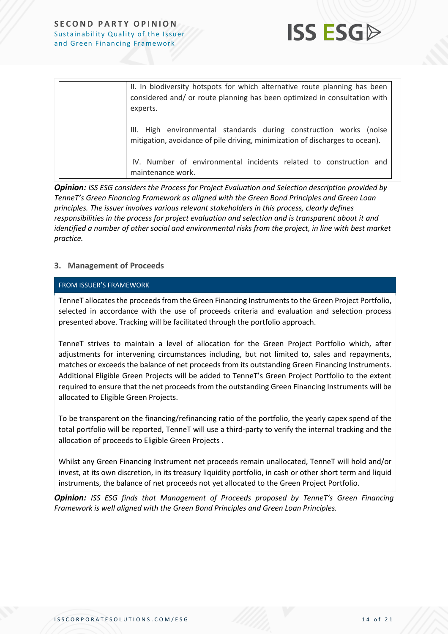

| II. In biodiversity hotspots for which alternative route planning has been<br>considered and/ or route planning has been optimized in consultation with<br>experts. |
|---------------------------------------------------------------------------------------------------------------------------------------------------------------------|
| III. High environmental standards during construction works (noise<br>mitigation, avoidance of pile driving, minimization of discharges to ocean).                  |
| IV. Number of environmental incidents related to construction and<br>maintenance work.                                                                              |

*Opinion: ISS ESG considers the Process for Project Evaluation and Selection description provided by TenneT's Green Financing Framework as aligned with the Green Bond Principles and Green Loan principles. The issuer involves various relevant stakeholders in this process, clearly defines responsibilities in the process for project evaluation and selection and is transparent about it and identified a number of other social and environmental risks from the project, in line with best market practice.* 

#### **3. Management of Proceeds**

#### FROM ISSUER'S FRAMEWORK

TenneT allocates the proceeds from the Green Financing Instruments to the Green Project Portfolio, selected in accordance with the use of proceeds criteria and evaluation and selection process presented above. Tracking will be facilitated through the portfolio approach.

TenneT strives to maintain a level of allocation for the Green Project Portfolio which, after adjustments for intervening circumstances including, but not limited to, sales and repayments, matches or exceeds the balance of net proceeds from its outstanding Green Financing Instruments. Additional Eligible Green Projects will be added to TenneT's Green Project Portfolio to the extent required to ensure that the net proceeds from the outstanding Green Financing Instruments will be allocated to Eligible Green Projects.

To be transparent on the financing/refinancing ratio of the portfolio, the yearly capex spend of the total portfolio will be reported, TenneT will use a third-party to verify the internal tracking and the allocation of proceeds to Eligible Green Projects .

Whilst any Green Financing Instrument net proceeds remain unallocated, TenneT will hold and/or invest, at its own discretion, in its treasury liquidity portfolio, in cash or other short term and liquid instruments, the balance of net proceeds not yet allocated to the Green Project Portfolio.

*Opinion: ISS ESG finds that Management of Proceeds proposed by TenneT's Green Financing Framework is well aligned with the Green Bond Principles and Green Loan Principles.*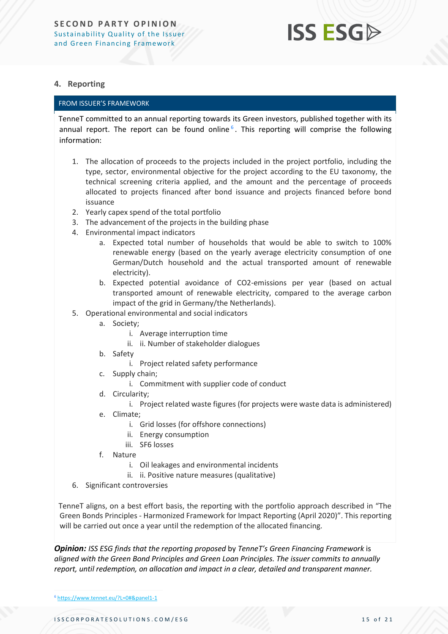#### **4. Reporting**

#### FROM ISSUER'S FRAMEWORK

TenneT committed to an annual reporting towards its Green investors, published together with its annual report. The report can be found online<sup>6</sup>. This reporting will comprise the following information:

- 1. The allocation of proceeds to the projects included in the project portfolio, including the type, sector, environmental objective for the project according to the EU taxonomy, the technical screening criteria applied, and the amount and the percentage of proceeds allocated to projects financed after bond issuance and projects financed before bond issuance
- 2. Yearly capex spend of the total portfolio
- 3. The advancement of the projects in the building phase
- 4. Environmental impact indicators
	- a. Expected total number of households that would be able to switch to 100% renewable energy (based on the yearly average electricity consumption of one German/Dutch household and the actual transported amount of renewable electricity).
	- b. Expected potential avoidance of CO2-emissions per year (based on actual transported amount of renewable electricity, compared to the average carbon impact of the grid in Germany/the Netherlands).
- 5. Operational environmental and social indicators
	- a. Society;
		- i. Average interruption time
		- ii. ii. Number of stakeholder dialogues
	- b. Safety
		- i. Project related safety performance
	- c. Supply chain;
		- i. Commitment with supplier code of conduct
	- d. Circularity;
		- i. Project related waste figures (for projects were waste data is administered)
	- e. Climate;
		- i. Grid losses (for offshore connections)
		- ii. Energy consumption
		- iii. SF6 losses
	- f. Nature
		- i. Oil leakages and environmental incidents
		- ii. ii. Positive nature measures (qualitative)
- 6. Significant controversies

TenneT aligns, on a best effort basis, the reporting with the portfolio approach described in "The Green Bonds Principles - Harmonized Framework for Impact Reporting (April 2020)". This reporting will be carried out once a year until the redemption of the allocated financing.

*Opinion: ISS ESG finds that the reporting proposed* by *TenneT's Green Financing Framework* is *aligned with the Green Bond Principles and Green Loan Principles. The issuer commits to annually report, until redemption, on allocation and impact in a clear, detailed and transparent manner.* 

<sup>6</sup> <https://www.tennet.eu/?L=0#&panel1-1>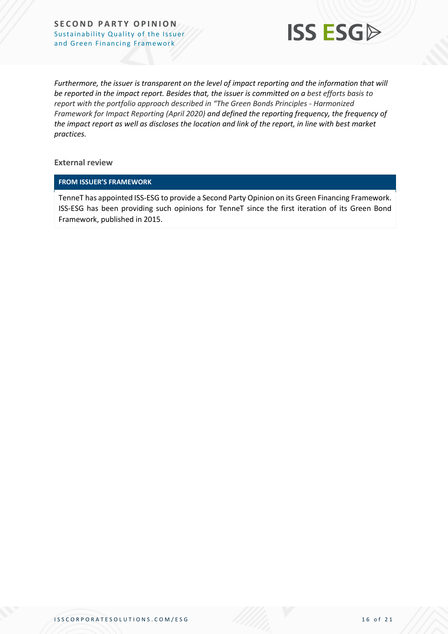

*Furthermore, the issuer is transparent on the level of impact reporting and the information that will be reported in the impact report. Besides that, the issuer is committed on a best efforts basis to report with the portfolio approach described in "The Green Bonds Principles - Harmonized Framework for Impact Reporting (April 2020) and defined the reporting frequency, the frequency of the impact report as well as discloses the location and link of the report, in line with best market practices.*

**External review**

#### **FROM ISSUER'S FRAMEWORK**

TenneT has appointed ISS-ESG to provide a Second Party Opinion on its Green Financing Framework. ISS-ESG has been providing such opinions for TenneT since the first iteration of its Green Bond Framework, published in 2015.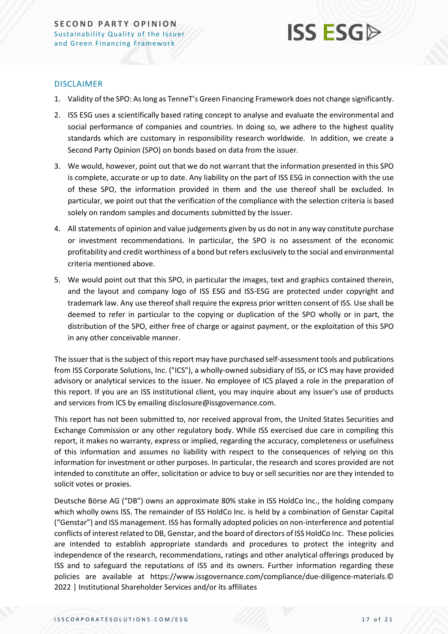

#### DISCLAIMER

- 1. Validity of the SPO: As long as TenneT's Green Financing Framework does not change significantly.
- 2. ISS ESG uses a scientifically based rating concept to analyse and evaluate the environmental and social performance of companies and countries. In doing so, we adhere to the highest quality standards which are customary in responsibility research worldwide. In addition, we create a Second Party Opinion (SPO) on bonds based on data from the issuer.
- 3. We would, however, point out that we do not warrant that the information presented in this SPO is complete, accurate or up to date. Any liability on the part of ISS ESG in connection with the use of these SPO, the information provided in them and the use thereof shall be excluded. In particular, we point out that the verification of the compliance with the selection criteria is based solely on random samples and documents submitted by the issuer.
- 4. All statements of opinion and value judgements given by us do not in any way constitute purchase or investment recommendations. In particular, the SPO is no assessment of the economic profitability and credit worthiness of a bond but refers exclusively to the social and environmental criteria mentioned above.
- 5. We would point out that this SPO, in particular the images, text and graphics contained therein, and the layout and company logo of ISS ESG and ISS-ESG are protected under copyright and trademark law. Any use thereof shall require the express prior written consent of ISS. Use shall be deemed to refer in particular to the copying or duplication of the SPO wholly or in part, the distribution of the SPO, either free of charge or against payment, or the exploitation of this SPO in any other conceivable manner.

The issuer that is the subject of this report may have purchased self-assessment tools and publications from ISS Corporate Solutions, Inc. ("ICS"), a wholly-owned subsidiary of ISS, or ICS may have provided advisory or analytical services to the issuer. No employee of ICS played a role in the preparation of this report. If you are an ISS institutional client, you may inquire about any issuer's use of products and services from ICS by emailing disclosure@issgovernance.com.

This report has not been submitted to, nor received approval from, the United States Securities and Exchange Commission or any other regulatory body. While ISS exercised due care in compiling this report, it makes no warranty, express or implied, regarding the accuracy, completeness or usefulness of this information and assumes no liability with respect to the consequences of relying on this information for investment or other purposes. In particular, the research and scores provided are not intended to constitute an offer, solicitation or advice to buy or sell securities nor are they intended to solicit votes or proxies.

Deutsche Börse AG ("DB") owns an approximate 80% stake in ISS HoldCo Inc., the holding company which wholly owns ISS. The remainder of ISS HoldCo Inc. is held by a combination of Genstar Capital ("Genstar") and ISS management. ISS has formally adopted policies on non-interference and potential conflicts of interest related to DB, Genstar, and the board of directors of ISS HoldCo Inc. These policies are intended to establish appropriate standards and procedures to protect the integrity and independence of the research, recommendations, ratings and other analytical offerings produced by ISS and to safeguard the reputations of ISS and its owners. Further information regarding these policies are available at https://www.issgovernance.com/compliance/due-diligence-materials.© 2022 | Institutional Shareholder Services and/or its affiliates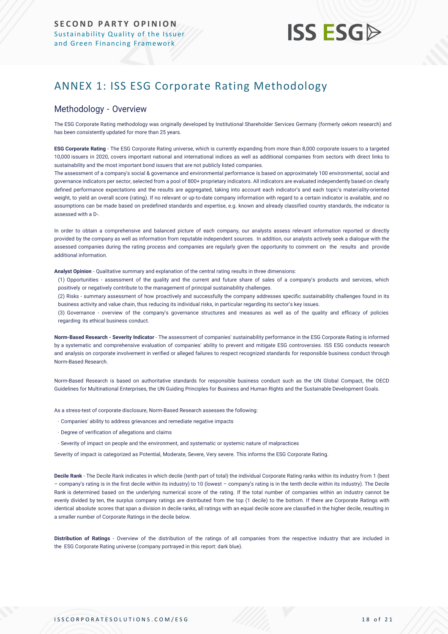### <span id="page-17-0"></span>ANNEX 1: ISS ESG Corporate Rating Methodology

#### Methodology - Overview

The ESG Corporate Rating methodology was originally developed by Institutional Shareholder Services Germany (formerly oekom research) and has been consistently updated for more than 25 years.

**ESG Corporate Rating** - The ESG Corporate Rating universe, which is currently expanding from more than 8,000 corporate issuers to a targeted 10,000 issuers in 2020, covers important national and international indices as well as additional companies from sectors with direct links to sustainability and the most important bond issuers that are not publicly listed companies.

The assessment of a company's social & governance and environmental performance is based on approximately 100 environmental, social and governance indicators per sector, selected from a pool of 800+ proprietary indicators. All indicators are evaluated independently based on clearly defined performance expectations and the results are aggregated, taking into account each indicator's and each topic's materiality-oriented weight, to yield an overall score (rating). If no relevant or up-to-date company information with regard to a certain indicator is available, and no assumptions can be made based on predefined standards and expertise, e.g. known and already classified country standards, the indicator is assessed with a D-.

In order to obtain a comprehensive and balanced picture of each company, our analysts assess relevant information reported or directly provided by the company as well as information from reputable independent sources. In addition, our analysts actively seek a dialogue with the assessed companies during the rating process and companies are regularly given the opportunity to comment on the results and provide additional information.

**Analyst Opinion** - Qualitative summary and explanation of the central rating results in three dimensions:

(1) Opportunities - assessment of the quality and the current and future share of sales of a company's products and services, which positively or negatively contribute to the management of principal sustainability challenges.

(2) Risks - summary assessment of how proactively and successfully the company addresses specific sustainability challenges found in its business activity and value chain, thus reducing its individual risks, in particular regarding its sector's key issues.

(3) Governance - overview of the company's governance structures and measures as well as of the quality and efficacy of policies regarding its ethical business conduct.

**Norm-Based Research - Severity Indicator** - The assessment of companies' sustainability performance in the ESG Corporate Rating is informed by a systematic and comprehensive evaluation of companies' ability to prevent and mitigate ESG controversies. ISS ESG conducts research and analysis [on corporate involvement in verified or alleged failures to respect recognized standards](https://www.issgovernance.com/esg/screening/esg-screening-solutions/#nbr_techdoc_download) for responsible business conduct through [Norm-Based](https://www.issgovernance.com/esg/screening/esg-screening-solutions/#nbr_techdoc_download) Research.

Norm-Based Research is based on authoritative standards for responsible business conduct such as the UN Global Compact, the OECD Guidelines for Multinational Enterprises, the UN Guiding Principles for Business and Human Rights and the Sustainable Development Goals.

As a stress-test of corporate disclosure, Norm-Based Research assesses the following:

- Companies' ability to address grievances and remediate negative impacts
- Degree of verification of allegations and claims
- Severity of impact on people and the environment, and systematic or systemic nature of malpractices

Severity of impact is categorized as Potential, Moderate, Severe, Very severe. This informs the ESG Corporate Rating.

**Decile Rank** - The Decile Rank indicates in which decile (tenth part of total) the individual Corporate Rating ranks within its industry from 1 (best – company's rating is in the first decile within its industry) to 10 (lowest – company's rating is in the tenth decile within its industry). The Decile Rank is determined based on the underlying numerical score of the rating. If the total number of companies within an industry cannot be evenly divided by ten, the surplus company ratings are distributed from the top (1 decile) to the bottom. If there are Corporate Ratings with identical absolute scores that span a division in decile ranks, all ratings with an equal decile score are classified in the higher decile, resulting in a smaller number of Corporate Ratings in the decile below.

**Distribution of Ratings** - Overview of the distribution of the ratings of all companies from the respective industry that are included in the ESG Corporate Rating universe (company portrayed in this report: dark blue).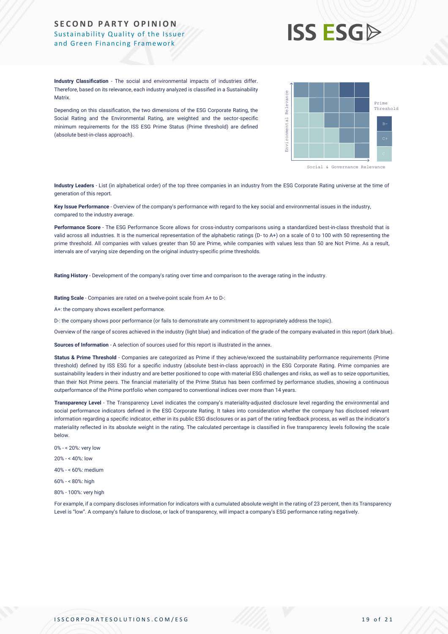## **ISS ESG**

**Industry Classification** - The social and environmental impacts of industries differ. Therefore, based on its relevance, each industry analyzed is classified in a Sustainability **Matrix** 

Depending on this classification, the two dimensions of the ESG Corporate Rating, the Social Rating and the Environmental Rating, are weighted and the sector-specific minimum requirements for the ISS ESG Prime Status (Prime threshold) are defined (absolute best-in-class approach).



**Industry Leaders** - List (in alphabetical order) of the top three companies in an industry from the ESG Corporate Rating universe at the time of generation of this report.

**Key Issue Performance** - Overview of the company's performance with regard to the key social and environmental issues in the industry, compared to the industry average.

**Performance Score** - The ESG Performance Score allows for cross-industry comparisons using a standardized best-in-class threshold that is valid across all industries. It is the numerical representation of the alphabetic ratings (D- to A+) on a scale of 0 to 100 with 50 representing the prime threshold. All companies with values greater than 50 are Prime, while companies with values less than 50 are Not Prime. As a result, intervals are of varying size depending on the original industry-specific prime thresholds.

**Rating History** - Development of the company's rating over time and comparison to the average rating in the industry.

**Rating Scale** - Companies are rated on a twelve-point scale from A+ to D-:

A+: the company shows excellent performance.

D-: the company shows poor performance (or fails to demonstrate any commitment to appropriately address the topic).

Overview of the range of scores achieved in the industry (light blue) and indication of the grade of the company evaluated in this report (dark blue).

**Sources of Information** - A selection of sources used for this report is illustrated in the annex.

Status & Prime Threshold - Companies are categorized as Prime if they achieve/exceed the sustainability performance requirements (Prime threshold) defined by ISS ESG for a specific industry (absolute best-in-class approach) in the ESG Corporate Rating. Prime companies are sustainability leaders in their industry and are better positioned to cope with material ESG challenges and risks, as well as to seize opportunities, than their Not Prime peers. The financial materiality of the Prime Status has been confirmed by performance studies, showing a continuous outperformance of the Prime portfolio when compared to conventional indices over more than 14 years. Africa, the members of transparency is also accompany in the second state of transparency in the members of the transparency of the second state of the second state and a company in the members of the second state and a co

**Transparency Level** - The Transparency Level indicates the company's materiality-adjusted disclosure level regarding the environmental and social performance indicators defined in the ESG Corporate Rating. It takes into consideration whether the company has disclosed relevant information regarding a specific indicator, either in its public ESG disclosures or as part of the rating feedback process, as well as the indicator's materiality reflected in its absolute weight in the rating. The calculated percentage is classified in five transparency levels following the scale below.

- 0% < 20%: very low
- 20% < 40%: low

40% - < 60%: medium

- 60% < 80%: high
- 80% 100%: very high

For example, if a company discloses information for indicators with a cumulated absolute weight in the rating of 23 percent, then its Transparency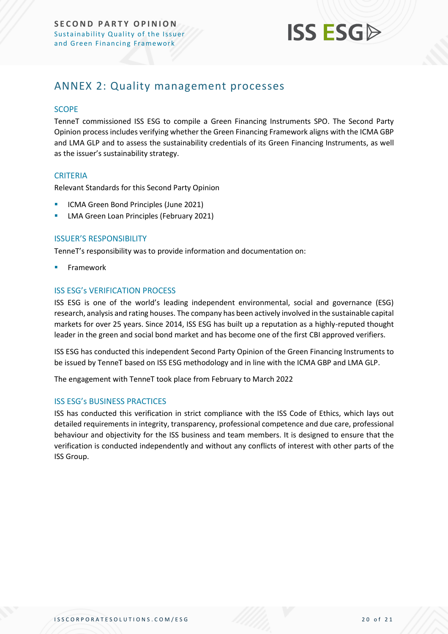

### <span id="page-19-0"></span>ANNEX 2: Quality management processes

#### **SCOPE**

TenneT commissioned ISS ESG to compile a Green Financing Instruments SPO. The Second Party Opinion process includes verifying whether the Green Financing Framework aligns with the ICMA GBP and LMA GLP and to assess the sustainability credentials of its Green Financing Instruments, as well as the issuer's sustainability strategy.

#### **CRITERIA**

Relevant Standards for this Second Party Opinion

- ICMA Green Bond Principles (June 2021)
- **E** LMA Green Loan Principles (February 2021)

#### ISSUER'S RESPONSIBILITY

TenneT's responsibility was to provide information and documentation on:

**Framework** 

#### ISS ESG's VERIFICATION PROCESS

ISS ESG is one of the world's leading independent environmental, social and governance (ESG) research, analysis and rating houses. The company has been actively involved in the sustainable capital markets for over 25 years. Since 2014, ISS ESG has built up a reputation as a highly-reputed thought leader in the green and social bond market and has become one of the first CBI approved verifiers.

ISS ESG has conducted this independent Second Party Opinion of the Green Financing Instruments to be issued by TenneT based on ISS ESG methodology and in line with the ICMA GBP and LMA GLP.

The engagement with TenneT took place from February to March 2022

#### ISS ESG's BUSINESS PRACTICES

ISS has conducted this verification in strict compliance with the ISS Code of Ethics, which lays out detailed requirements in integrity, transparency, professional competence and due care, professional behaviour and objectivity for the ISS business and team members. It is designed to ensure that the verification is conducted independently and without any conflicts of interest with other parts of the ISS Group.